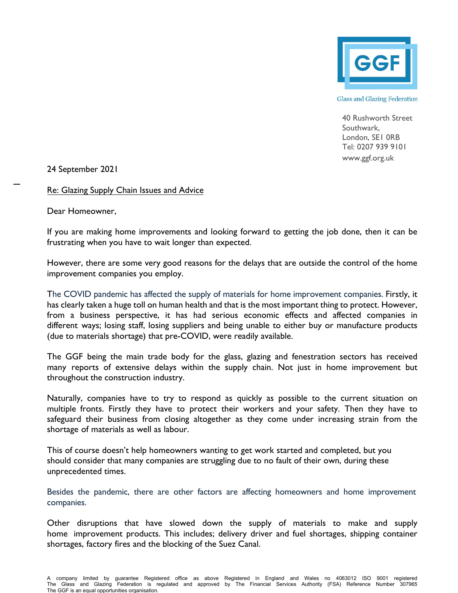

**Glass and Glazing Federation** 

40 Rushworth Street Southwark, London, SE1 0RB Tel: 0207 939 9101 [www.ggf.org.uk](http://www.ggf.org.uk/)

24 September 2021

Re: Glazing Supply Chain Issues and Advice

Dear Homeowner,

If you are making home improvements and looking forward to getting the job done, then it can be frustrating when you have to wait longer than expected.

However, there are some very good reasons for the delays that are outside the control of the home improvement companies you employ.

The COVID pandemic has affected the supply of materials for home improvement companies. Firstly, it has clearly taken a huge toll on human health and that is the most important thing to protect. However, from a business perspective, it has had serious economic effects and affected companies in different ways; losing staff, losing suppliers and being unable to either buy or manufacture products (due to materials shortage) that pre-COVID, were readily available.

The GGF being the main trade body for the glass, glazing and fenestration sectors has received many reports of extensive delays within the supply chain. Not just in home improvement but throughout the construction industry.

Naturally, companies have to try to respond as quickly as possible to the current situation on multiple fronts. Firstly they have to protect their workers and your safety. Then they have to safeguard their business from closing altogether as they come under increasing strain from the shortage of materials as well as labour.

This of course doesn't help homeowners wanting to get work started and completed, but you should consider that many companies are struggling due to no fault of their own, during these unprecedented times.

Besides the pandemic, there are other factors are affecting homeowners and home improvement companies.

Other disruptions that have slowed down the supply of materials to make and supply home improvement products. This includes; delivery driver and fuel shortages, shipping container shortages, factory fires and the blocking of the Suez Canal.